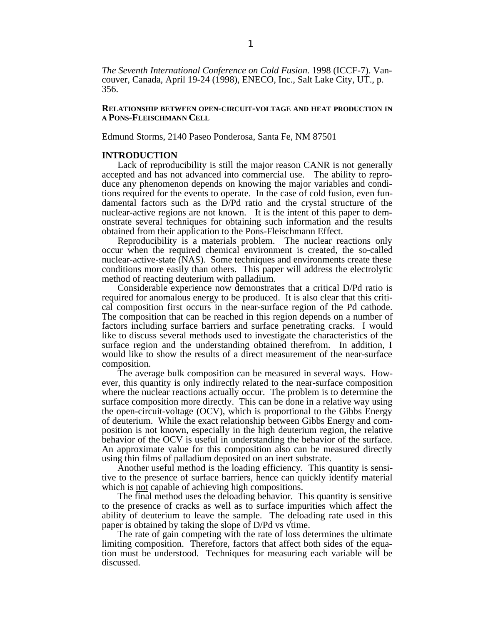*The Seventh International Conference on Cold Fusion*. 1998 (ICCF-7). Vancouver, Canada, April 19-24 (1998), ENECO, Inc., Salt Lake City, UT., p. 356.

## **RELATIONSHIP BETWEEN OPEN-CIRCUIT-VOLTAGE AND HEAT PRODUCTION IN A PONS-FLEISCHMANN CELL**

Edmund Storms, 2140 Paseo Ponderosa, Santa Fe, NM 87501

# **INTRODUCTION**

Lack of reproducibility is still the major reason CANR is not generally accepted and has not advanced into commercial use. The ability to reproduce any phenomenon depends on knowing the major variables and conditions required for the events to operate. In the case of cold fusion, even fundamental factors such as the D/Pd ratio and the crystal structure of the nuclear-active regions are not known. It is the intent of this paper to demonstrate several techniques for obtaining such information and the results obtained from their application to the Pons-Fleischmann Effect.

Reproducibility is a materials problem. The nuclear reactions only occur when the required chemical environment is created, the so-called nuclear-active-state (NAS). Some techniques and environments create these conditions more easily than others. This paper will address the electrolytic method of reacting deuterium with palladium.

Considerable experience now demonstrates that a critical D/Pd ratio is required for anomalous energy to be produced. It is also clear that this critical composition first occurs in the near-surface region of the Pd cathode. The composition that can be reached in this region depends on a number of factors including surface barriers and surface penetrating cracks. I would like to discuss several methods used to investigate the characteristics of the surface region and the understanding obtained therefrom. In addition, I would like to show the results of a direct measurement of the near-surface composition.

The average bulk composition can be measured in several ways. However, this quantity is only indirectly related to the near-surface composition where the nuclear reactions actually occur. The problem is to determine the surface composition more directly. This can be done in a relative way using the open-circuit-voltage (OCV), which is proportional to the Gibbs Energy of deuterium. While the exact relationship between Gibbs Energy and composition is not known, especially in the high deuterium region, the relative behavior of the OCV is useful in understanding the behavior of the surface. An approximate value for this composition also can be measured directly using thin films of palladium deposited on an inert substrate.

Another useful method is the loading efficiency. This quantity is sensitive to the presence of surface barriers, hence can quickly identify material which is not capable of achieving high compositions.

The final method uses the deloading behavior. This quantity is sensitive to the presence of cracks as well as to surface impurities which affect the ability of deuterium to leave the sample. The deloading rate used in this paper is obtained by taking the slope of D/Pd vs time.

The rate of gain competing with the rate of loss determines the ultimate limiting composition. Therefore, factors that affect both sides of the equation must be understood. Techniques for measuring each variable will be discussed.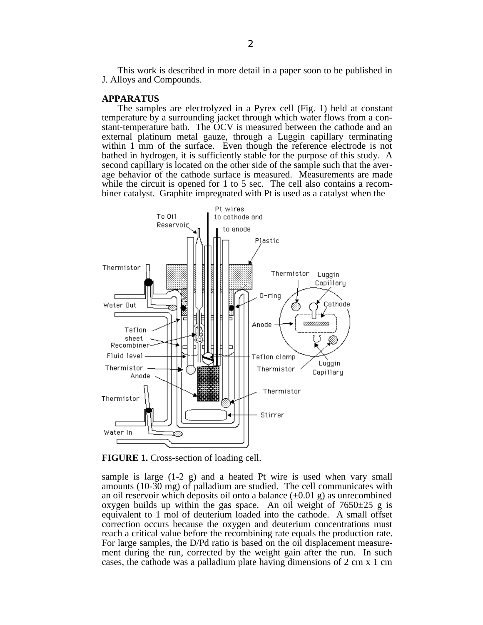This work is described in more detail in a paper soon to be published in J. Alloys and Compounds.

#### **APPARATUS**

The samples are electrolyzed in a Pyrex cell (Fig. 1) held at constant temperature by a surrounding jacket through which water flows from a constant-temperature bath. The OCV is measured between the cathode and an external platinum metal gauze, through a Luggin capillary terminating within 1 mm of the surface. Even though the reference electrode is not bathed in hydrogen, it is sufficiently stable for the purpose of this study. A second capillary is located on the other side of the sample such that the average behavior of the cathode surface is measured. Measurements are made while the circuit is opened for 1 to 5 sec. The cell also contains a recombiner catalyst. Graphite impregnated with Pt is used as a catalyst when the



**FIGURE 1.** Cross-section of loading cell.

sample is large (1-2 g) and a heated Pt wire is used when vary small amounts (10-30 mg) of palladium are studied. The cell communicates with an oil reservoir which deposits oil onto a balance  $(\pm 0.01 \text{ g})$  as unrecombined oxygen builds up within the gas space. An oil weight of  $7650\pm25$  g is equivalent to 1 mol of deuterium loaded into the cathode. A small offset correction occurs because the oxygen and deuterium concentrations must reach a critical value before the recombining rate equals the production rate. For large samples, the D/Pd ratio is based on the oil displacement measurement during the run, corrected by the weight gain after the run. In such cases, the cathode was a palladium plate having dimensions of 2 cm x 1 cm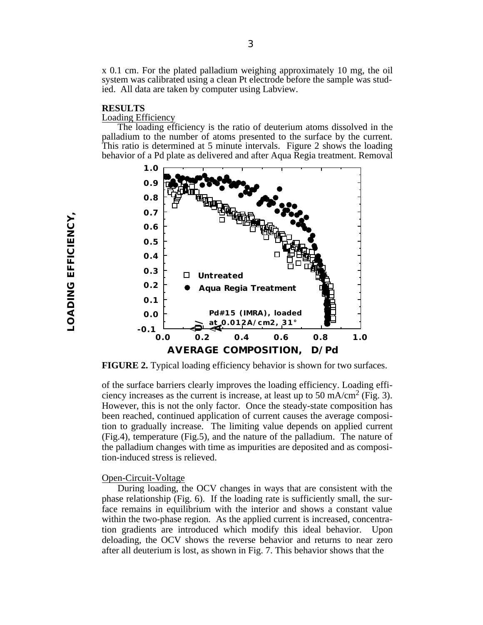x 0.1 cm. For the plated palladium weighing approximately 10 mg, the oil system was calibrated using a clean Pt electrode before the sample was studied. All data are taken by computer using Labview.

### **RESULTS**

### Loading Efficiency

The loading efficiency is the ratio of deuterium atoms dissolved in the palladium to the number of atoms presented to the surface by the current. This ratio is determined at 5 minute intervals. Figure 2 shows the loading behavior of a Pd plate as delivered and after Aqua Regia treatment. Removal



**FIGURE 2.** Typical loading efficiency behavior is shown for two surfaces.

of the surface barriers clearly improves the loading efficiency. Loading efficiency increases as the current is increase, at least up to 50 mA/cm<sup>2</sup> (Fig. 3). However, this is not the only factor. Once the steady-state composition has been reached, continued application of current causes the average composition to gradually increase. The limiting value depends on applied current (Fig.4), temperature (Fig.5), and the nature of the palladium. The nature of the palladium changes with time as impurities are deposited and as composition-induced stress is relieved.

# Open-Circuit-Voltage

During loading, the OCV changes in ways that are consistent with the phase relationship (Fig. 6). If the loading rate is sufficiently small, the surface remains in equilibrium with the interior and shows a constant value within the two-phase region. As the applied current is increased, concentration gradients are introduced which modify this ideal behavior. Upon deloading, the OCV shows the reverse behavior and returns to near zero after all deuterium is lost, as shown in Fig. 7. This behavior shows that the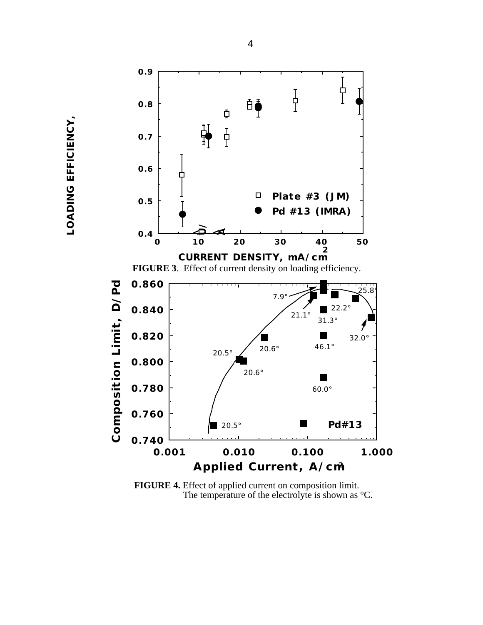

**FIGURE 4.** Effect of applied current on composition limit. The temperature of the electrolyte is shown as °C.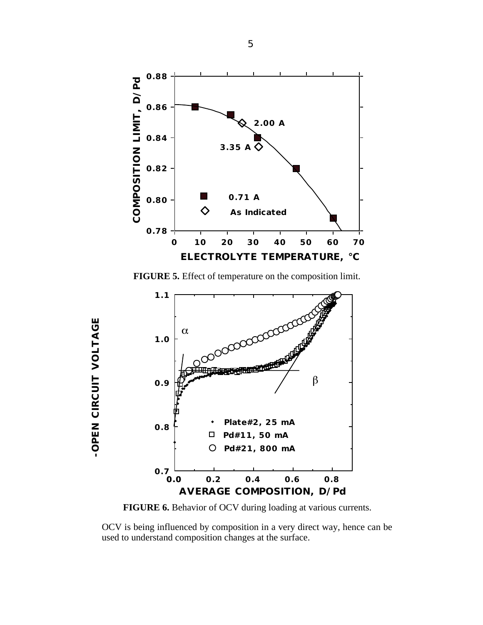

**FIGURE 5.** Effect of temperature on the composition limit.



**-OPEN CIRCUIT VOLTAGE**

-OPEN CIRCUIT VOLTAGE

**FIGURE 6.** Behavior of OCV during loading at various currents.

OCV is being influenced by composition in a very direct way, hence can be used to understand composition changes at the surface.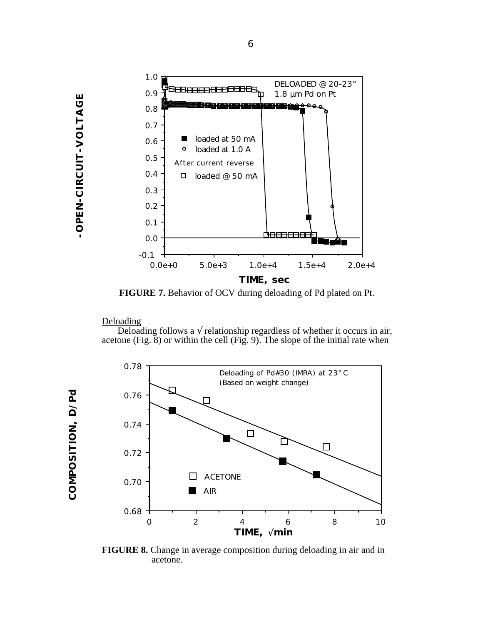

**FIGURE 7.** Behavior of OCV during deloading of Pd plated on Pt.

# Deloading

Deloading follows a relationship regardless of whether it occurs in air, acetone (Fig. 8) or within the cell (Fig. 9). The slope of the initial rate when



**FIGURE 8.** Change in average composition during deloading in air and in acetone.

**-OPEN-CIRCUIT-VOLTAGE**

-OPEN-CIRCUIT-VOLTAGE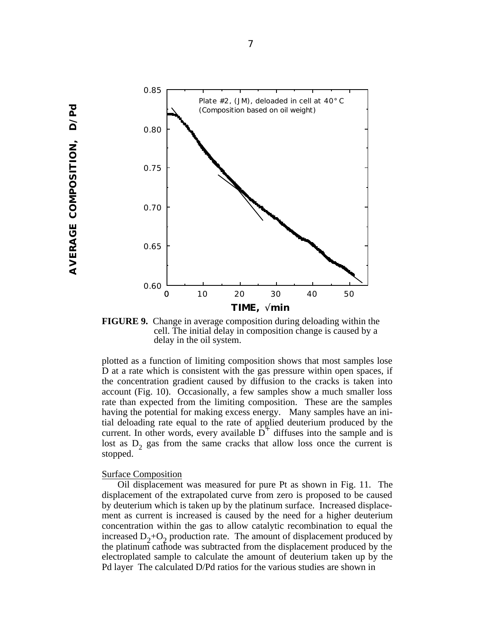

**FIGURE 9.** Change in average composition during deloading within the cell. The initial delay in composition change is caused by a delay in the oil system.

plotted as a function of limiting composition shows that most samples lose D at a rate which is consistent with the gas pressure within open spaces, if the concentration gradient caused by diffusion to the cracks is taken into account (Fig. 10). Occasionally, a few samples show a much smaller loss rate than expected from the limiting composition. These are the samples having the potential for making excess energy. Many samples have an initial deloading rate equal to the rate of applied deuterium produced by the current. In other words, every available  $D^+$  diffuses into the sample and is lost as  $D_2$  gas from the same cracks that allow loss once the current is stopped.

#### Surface Composition

Oil displacement was measured for pure Pt as shown in Fig. 11. The displacement of the extrapolated curve from zero is proposed to be caused by deuterium which is taken up by the platinum surface. Increased displacement as current is increased is caused by the need for a higher deuterium concentration within the gas to allow catalytic recombination to equal the increased  $D_2+O_2$  production rate. The amount of displacement produced by the platinum cathode was subtracted from the displacement produced by the electroplated sample to calculate the amount of deuterium taken up by the Pd layer The calculated D/Pd ratios for the various studies are shown in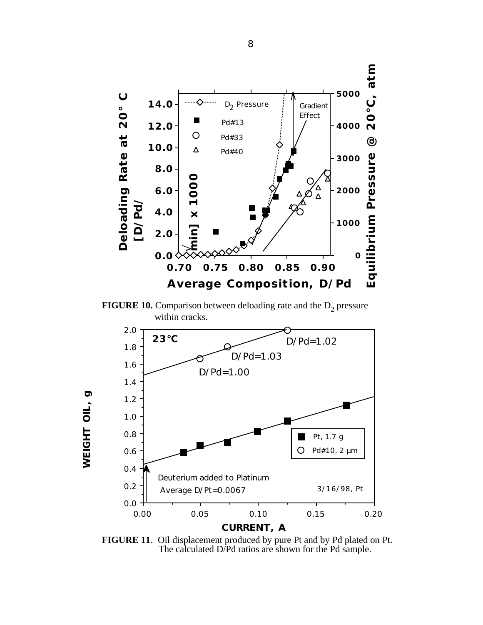

**FIGURE 10.** Comparison between deloading rate and the  $D_2$  pressure within cracks.



**FIGURE 11**. Oil displacement produced by pure Pt and by Pd plated on Pt. The calculated D/Pd ratios are shown for the Pd sample.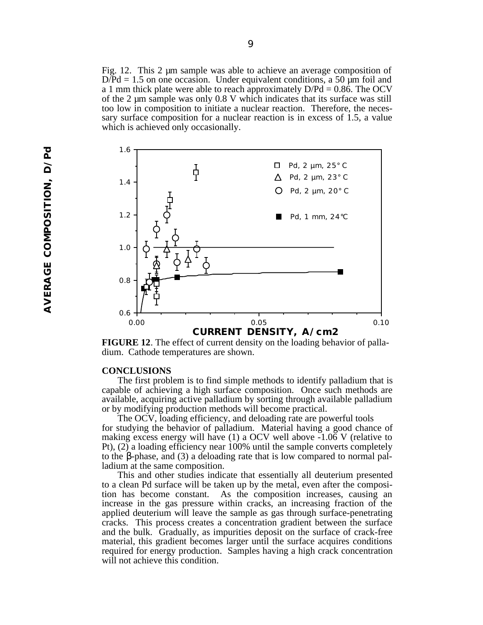Fig. 12. This 2 µm sample was able to achieve an average composition of  $D/Pd = 1.5$  on one occasion. Under equivalent conditions, a 50  $\mu$ m foil and a 1 mm thick plate were able to reach approximately  $D/Pd = 0.86$ . The OCV of the 2 µm sample was only 0.8 V which indicates that its surface was still too low in composition to initiate a nuclear reaction. Therefore, the necessary surface composition for a nuclear reaction is in excess of 1.5, a value which is achieved only occasionally.



**FIGURE 12**. The effect of current density on the loading behavior of palladium. Cathode temperatures are shown.

#### **CONCLUSIONS**

The first problem is to find simple methods to identify palladium that is capable of achieving a high surface composition. Once such methods are available, acquiring active palladium by sorting through available palladium or by modifying production methods will become practical.

The OCV, loading efficiency, and deloading rate are powerful tools for studying the behavior of palladium. Material having a good chance of making excess energy will have (1) a OCV well above -1.06 V (relative to Pt), (2) a loading efficiency near 100% until the sample converts completely to the -phase, and (3) a deloading rate that is low compared to normal palladium at the same composition.

This and other studies indicate that essentially all deuterium presented to a clean Pd surface will be taken up by the metal, even after the composition has become constant. As the composition increases, causing an increase in the gas pressure within cracks, an increasing fraction of the applied deuterium will leave the sample as gas through surface-penetrating cracks. This process creates a concentration gradient between the surface and the bulk. Gradually, as impurities deposit on the surface of crack-free material, this gradient becomes larger until the surface acquires conditions required for energy production. Samples having a high crack concentration will not achieve this condition.